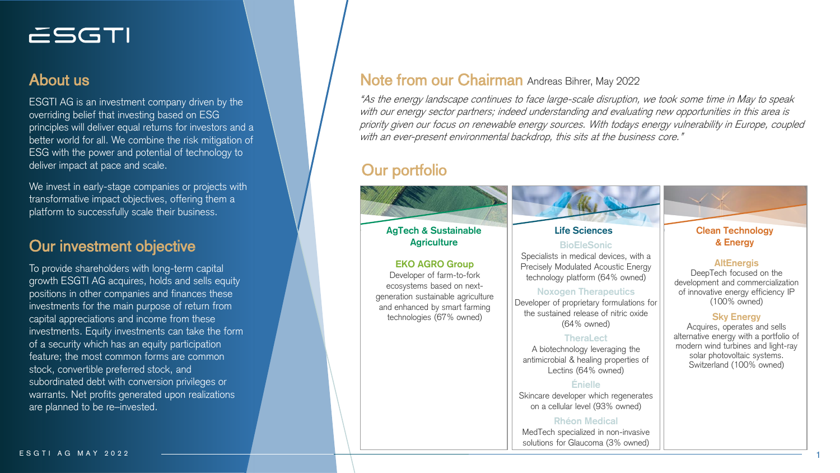# ESGTI

## About us

ESGTI AG is an investment company driven by the overriding belief that investing based on ESG principles will deliver equal returns for investors and a better world for all. We combine the risk mitigation of ESG with the power and potential of technology to deliver impact at pace and scale.

We invest in early-stage companies or projects with transformative impact objectives, offering them a platform to successfully scale their business.

## **Our investment objective and all and all and analyzing the COUR COURTS Agriculture**

To provide shareholders with long-term capital growth ESGTI AG acquires, holds and sells equity positions in other companies and finances these investments for the main purpose of return from capital appreciations and income from these investments. Equity investments can take the form of a security which has an equity participation feature; the most common forms are common stock, convertible preferred stock, and subordinated debt with conversion privileges or warrants. Net profits generated upon realizations are planned to be re–invested.

## Note from our Chairman Andreas Bihrer, May 2022

"As the energy landscape continues to face large-scale disruption, we took some time in May to speak with our energy sector partners; indeed understanding and evaluating new opportunities in this area is priority given our focus on renewable energy sources. With todays energy vulnerability in Europe, coupled with an ever-present environmental backdrop, this sits at the business core."

## Our portfolio

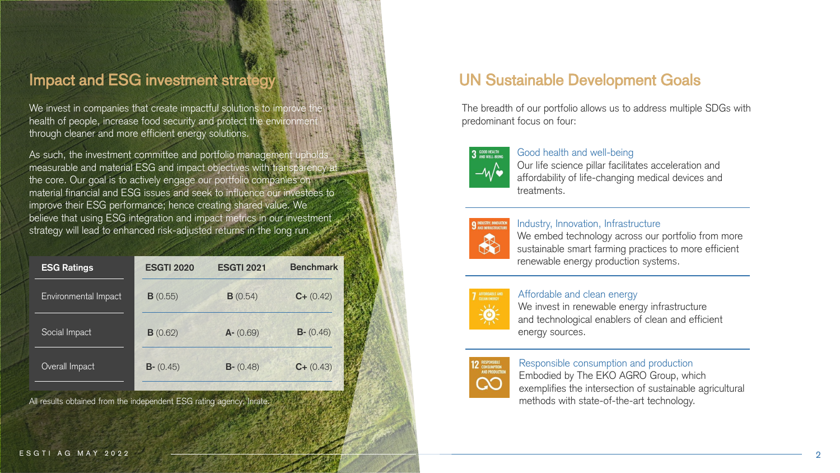## Impact and ESG investment strategy WAMMAN AND MANUSIAL UN Sustainable Development Goals

We invest in companies that create impactful solutions to improve health of people, increase food security and protect the environment through cleaner and more efficient energy solutions.

As such, the investment committee and portfolio management uphold measurable and material ESG and impact objectives with transparency a the core. Our goal is to actively engage our portfolio companies on material financial and ESG issues and seek to influence our investees to improve their ESG performance; hence creating shared value. We believe that using ESG integration and impact metrics in our investment strategy will lead to enhanced risk-adjusted returns in the long run.

| <b>ESG Ratings</b>   | <b>ESGTI 2020</b> | <b>ESGTI 2021</b> | <b>Benchmark</b> |
|----------------------|-------------------|-------------------|------------------|
| Environmental Impact | B(0.55)           | B(0.54)           | $C+(0.42)$       |
| Social Impact        | B(0.62)           | $A - (0.69)$      | $B - (0.46)$     |
| Overall Impact       | $B - (0.45)$      | $B - (0.48)$      | $C + (0.43)$     |

All results obtained from the independent ESG rating agency, Inrate.

The breadth of our portfolio allows us to address multiple SDGs with predominant focus on four:



#### Good health and well-being

Our life science pillar facilitates acceleration and affordability of life-changing medical devices and treatments.



#### Industry, Innovation, Infrastructure

We embed technology across our portfolio from more sustainable smart farming practices to more efficient renewable energy production systems.



### Affordable and clean energy

We invest in renewable energy infrastructure and technological enablers of clean and efficient energy sources.

#### Responsible consumption and production

Embodied by The EKO AGRO Group, which exemplifies the intersection of sustainable agricultural methods with state-of-the-art technology.